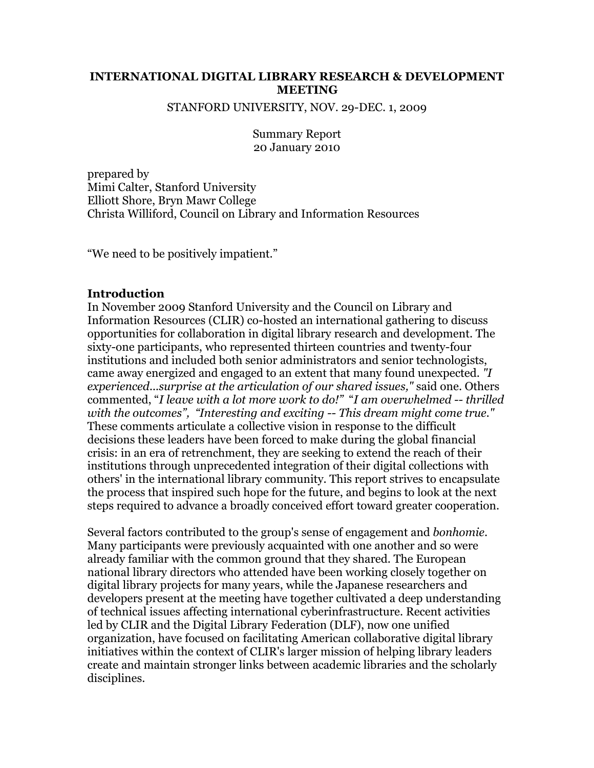## **INTERNATIONAL DIGITAL LIBRARY RESEARCH & DEVELOPMENT MEETING**

STANFORD UNIVERSITY, NOV. 29-DEC. 1, 2009

Summary Report 20 January 2010

prepared by Mimi Calter, Stanford University Elliott Shore, Bryn Mawr College Christa Williford, Council on Library and Information Resources

"We need to be positively impatient."

#### **Introduction**

In November 2009 Stanford University and the Council on Library and Information Resources (CLIR) co-hosted an international gathering to discuss opportunities for collaboration in digital library research and development. The sixty-one participants, who represented thirteen countries and twenty-four institutions and included both senior administrators and senior technologists, came away energized and engaged to an extent that many found unexpected. *"I experienced...surprise at the articulation of our shared issues,"* said one. Others commented, "*I leave with a lot more work to do!"* "*I am overwhelmed -- thrilled with the outcomes", "Interesting and exciting -- This dream might come true."* These comments articulate a collective vision in response to the difficult decisions these leaders have been forced to make during the global financial crisis: in an era of retrenchment, they are seeking to extend the reach of their institutions through unprecedented integration of their digital collections with others' in the international library community. This report strives to encapsulate the process that inspired such hope for the future, and begins to look at the next steps required to advance a broadly conceived effort toward greater cooperation.

Several factors contributed to the group's sense of engagement and *bonhomie*. Many participants were previously acquainted with one another and so were already familiar with the common ground that they shared. The European national library directors who attended have been working closely together on digital library projects for many years, while the Japanese researchers and developers present at the meeting have together cultivated a deep understanding of technical issues affecting international cyberinfrastructure. Recent activities led by CLIR and the Digital Library Federation (DLF), now one unified organization, have focused on facilitating American collaborative digital library initiatives within the context of CLIR's larger mission of helping library leaders create and maintain stronger links between academic libraries and the scholarly disciplines.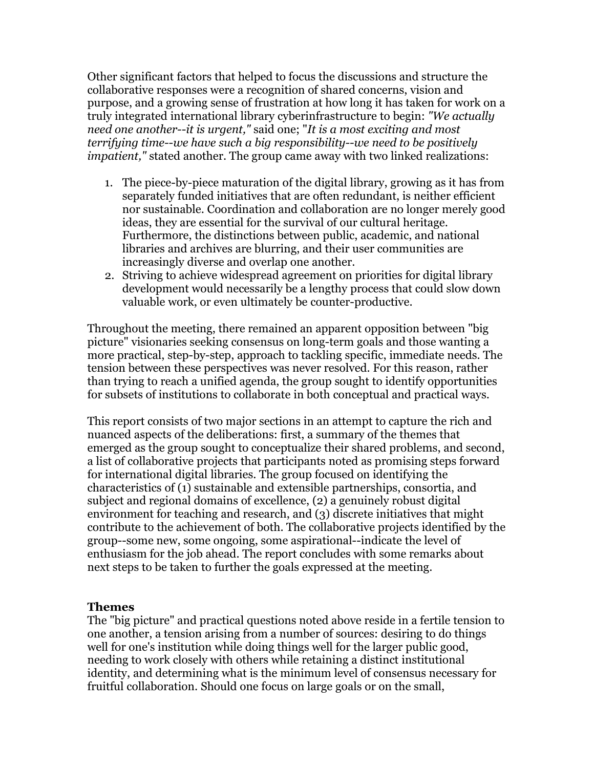Other significant factors that helped to focus the discussions and structure the collaborative responses were a recognition of shared concerns, vision and purpose, and a growing sense of frustration at how long it has taken for work on a truly integrated international library cyberinfrastructure to begin: *"We actually need one another--it is urgent,"* said one; "*It is a most exciting and most terrifying time--we have such a big responsibility--we need to be positively impatient,"* stated another. The group came away with two linked realizations:

- 1. The piece-by-piece maturation of the digital library, growing as it has from separately funded initiatives that are often redundant, is neither efficient nor sustainable. Coordination and collaboration are no longer merely good ideas, they are essential for the survival of our cultural heritage. Furthermore, the distinctions between public, academic, and national libraries and archives are blurring, and their user communities are increasingly diverse and overlap one another.
- 2. Striving to achieve widespread agreement on priorities for digital library development would necessarily be a lengthy process that could slow down valuable work, or even ultimately be counter-productive.

Throughout the meeting, there remained an apparent opposition between "big picture" visionaries seeking consensus on long-term goals and those wanting a more practical, step-by-step, approach to tackling specific, immediate needs. The tension between these perspectives was never resolved. For this reason, rather than trying to reach a unified agenda, the group sought to identify opportunities for subsets of institutions to collaborate in both conceptual and practical ways.

This report consists of two major sections in an attempt to capture the rich and nuanced aspects of the deliberations: first, a summary of the themes that emerged as the group sought to conceptualize their shared problems, and second, a list of collaborative projects that participants noted as promising steps forward for international digital libraries. The group focused on identifying the characteristics of (1) sustainable and extensible partnerships, consortia, and subject and regional domains of excellence, (2) a genuinely robust digital environment for teaching and research, and (3) discrete initiatives that might contribute to the achievement of both. The collaborative projects identified by the group--some new, some ongoing, some aspirational--indicate the level of enthusiasm for the job ahead. The report concludes with some remarks about next steps to be taken to further the goals expressed at the meeting.

### **Themes**

The "big picture" and practical questions noted above reside in a fertile tension to one another, a tension arising from a number of sources: desiring to do things well for one's institution while doing things well for the larger public good, needing to work closely with others while retaining a distinct institutional identity, and determining what is the minimum level of consensus necessary for fruitful collaboration. Should one focus on large goals or on the small,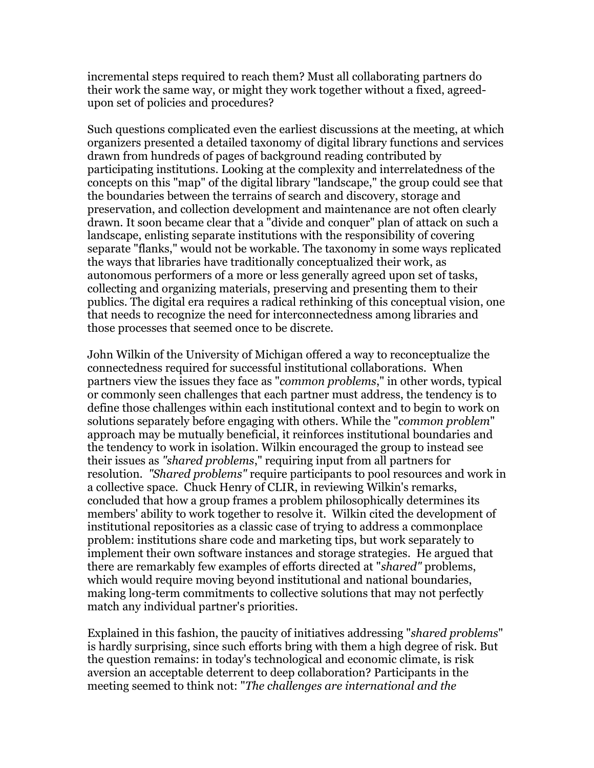incremental steps required to reach them? Must all collaborating partners do their work the same way, or might they work together without a fixed, agreedupon set of policies and procedures?

Such questions complicated even the earliest discussions at the meeting, at which organizers presented a detailed taxonomy of digital library functions and services drawn from hundreds of pages of background reading contributed by participating institutions. Looking at the complexity and interrelatedness of the concepts on this "map" of the digital library "landscape," the group could see that the boundaries between the terrains of search and discovery, storage and preservation, and collection development and maintenance are not often clearly drawn. It soon became clear that a "divide and conquer" plan of attack on such a landscape, enlisting separate institutions with the responsibility of covering separate "flanks," would not be workable. The taxonomy in some ways replicated the ways that libraries have traditionally conceptualized their work, as autonomous performers of a more or less generally agreed upon set of tasks, collecting and organizing materials, preserving and presenting them to their publics. The digital era requires a radical rethinking of this conceptual vision, one that needs to recognize the need for interconnectedness among libraries and those processes that seemed once to be discrete.

John Wilkin of the University of Michigan offered a way to reconceptualize the connectedness required for successful institutional collaborations. When partners view the issues they face as "*common problems*," in other words, typical or commonly seen challenges that each partner must address, the tendency is to define those challenges within each institutional context and to begin to work on solutions separately before engaging with others. While the "*common problem*" approach may be mutually beneficial, it reinforces institutional boundaries and the tendency to work in isolation. Wilkin encouraged the group to instead see their issues as *"shared problems*," requiring input from all partners for resolution. *"Shared problems"* require participants to pool resources and work in a collective space. Chuck Henry of CLIR, in reviewing Wilkin's remarks, concluded that how a group frames a problem philosophically determines its members' ability to work together to resolve it. Wilkin cited the development of institutional repositories as a classic case of trying to address a commonplace problem: institutions share code and marketing tips, but work separately to implement their own software instances and storage strategies. He argued that there are remarkably few examples of efforts directed at "*shared"* problems, which would require moving beyond institutional and national boundaries, making long-term commitments to collective solutions that may not perfectly match any individual partner's priorities.

Explained in this fashion, the paucity of initiatives addressing "*shared problems*" is hardly surprising, since such efforts bring with them a high degree of risk. But the question remains: in today's technological and economic climate, is risk aversion an acceptable deterrent to deep collaboration? Participants in the meeting seemed to think not: "*The challenges are international and the*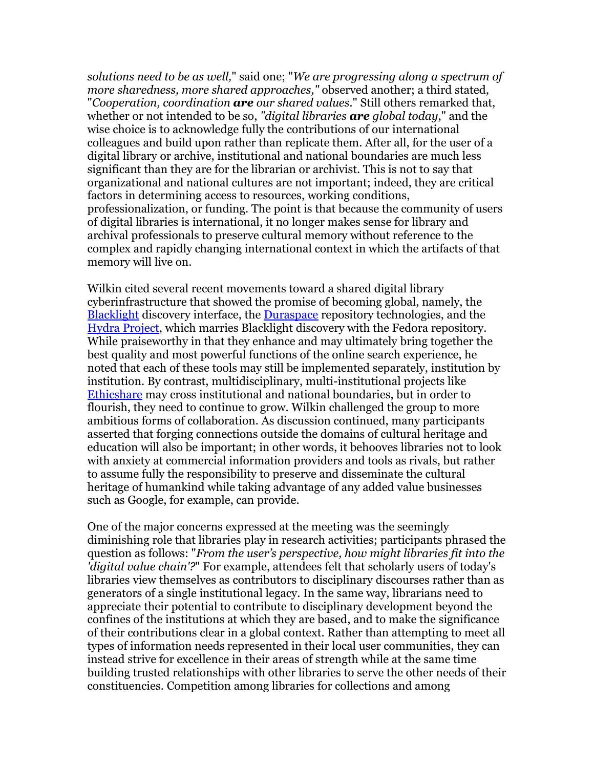*solutions need to be as well,*" said one; "*We are progressing along a spectrum of more sharedness, more shared approaches,"* observed another; a third stated, "*Cooperation, coordination are our shared values.*" Still others remarked that, whether or not intended to be so, *"digital libraries are global today*," and the wise choice is to acknowledge fully the contributions of our international colleagues and build upon rather than replicate them. After all, for the user of a digital library or archive, institutional and national boundaries are much less significant than they are for the librarian or archivist. This is not to say that organizational and national cultures are not important; indeed, they are critical factors in determining access to resources, working conditions, professionalization, or funding. The point is that because the community of users of digital libraries is international, it no longer makes sense for library and archival professionals to preserve cultural memory without reference to the complex and rapidly changing international context in which the artifacts of that memory will live on.

Wilkin cited several recent movements toward a shared digital library cyberinfrastructure that showed the promise of becoming global, namely, the **[Blacklight](http://projectblacklight.org/) discovery interface, the [Duraspace](http://duraspace.org/) repository technologies, and the** [Hydra Project,](http://www.fedora-commons.org/confluence/display/hydra/The+Hydra+Project) which marries Blacklight discovery with the Fedora repository. While praiseworthy in that they enhance and may ultimately bring together the best quality and most powerful functions of the online search experience, he noted that each of these tools may still be implemented separately, institution by institution. By contrast, multidisciplinary, multi-institutional projects like [Ethicshare](https://www.ethicshare.org/) may cross institutional and national boundaries, but in order to flourish, they need to continue to grow. Wilkin challenged the group to more ambitious forms of collaboration. As discussion continued, many participants asserted that forging connections outside the domains of cultural heritage and education will also be important; in other words, it behooves libraries not to look with anxiety at commercial information providers and tools as rivals, but rather to assume fully the responsibility to preserve and disseminate the cultural heritage of humankind while taking advantage of any added value businesses such as Google, for example, can provide.

One of the major concerns expressed at the meeting was the seemingly diminishing role that libraries play in research activities; participants phrased the question as follows: "*From the user's perspective, how might libraries fit into the 'digital value chain'?*" For example, attendees felt that scholarly users of today's libraries view themselves as contributors to disciplinary discourses rather than as generators of a single institutional legacy. In the same way, librarians need to appreciate their potential to contribute to disciplinary development beyond the confines of the institutions at which they are based, and to make the significance of their contributions clear in a global context. Rather than attempting to meet all types of information needs represented in their local user communities, they can instead strive for excellence in their areas of strength while at the same time building trusted relationships with other libraries to serve the other needs of their constituencies. Competition among libraries for collections and among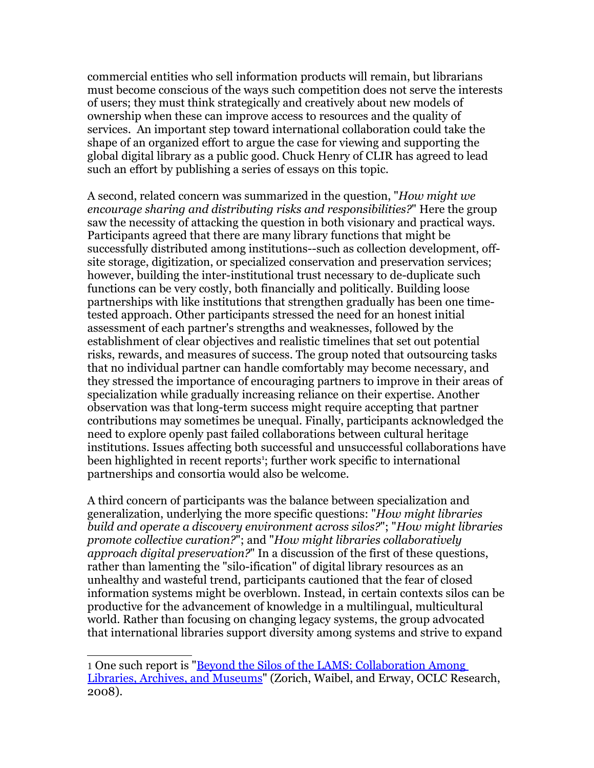commercial entities who sell information products will remain, but librarians must become conscious of the ways such competition does not serve the interests of users; they must think strategically and creatively about new models of ownership when these can improve access to resources and the quality of services. An important step toward international collaboration could take the shape of an organized effort to argue the case for viewing and supporting the global digital library as a public good. Chuck Henry of CLIR has agreed to lead such an effort by publishing a series of essays on this topic.

A second, related concern was summarized in the question, "*How might we encourage sharing and distributing risks and responsibilities?*" Here the group saw the necessity of attacking the question in both visionary and practical ways. Participants agreed that there are many library functions that might be successfully distributed among institutions--such as collection development, offsite storage, digitization, or specialized conservation and preservation services; however, building the inter-institutional trust necessary to de-duplicate such functions can be very costly, both financially and politically. Building loose partnerships with like institutions that strengthen gradually has been one timetested approach. Other participants stressed the need for an honest initial assessment of each partner's strengths and weaknesses, followed by the establishment of clear objectives and realistic timelines that set out potential risks, rewards, and measures of success. The group noted that outsourcing tasks that no individual partner can handle comfortably may become necessary, and they stressed the importance of encouraging partners to improve in their areas of specialization while gradually increasing reliance on their expertise. Another observation was that long-term success might require accepting that partner contributions may sometimes be unequal. Finally, participants acknowledged the need to explore openly past failed collaborations between cultural heritage institutions. Issues affecting both successful and unsuccessful collaborations have been highlighted in recent reports<sup>[1](#page-4-0)</sup>; further work specific to international partnerships and consortia would also be welcome.

A third concern of participants was the balance between specialization and generalization, underlying the more specific questions: "*How might libraries build and operate a discovery environment across silos?*"; "*How might libraries promote collective curation?*"; and "*How might libraries collaboratively approach digital preservation?*" In a discussion of the first of these questions, rather than lamenting the "silo-ification" of digital library resources as an unhealthy and wasteful trend, participants cautioned that the fear of closed information systems might be overblown. Instead, in certain contexts silos can be productive for the advancement of knowledge in a multilingual, multicultural world. Rather than focusing on changing legacy systems, the group advocated that international libraries support diversity among systems and strive to expand

<span id="page-4-0"></span><sup>1</sup> One such report is ["Beyond the Silos of the LAMS: Collaboration Among](http://www.oclc.org/research/news/2008-09-26.htm) [Libraries, Archives, and Museums"](http://www.oclc.org/research/news/2008-09-26.htm) (Zorich, Waibel, and Erway, OCLC Research, 2008).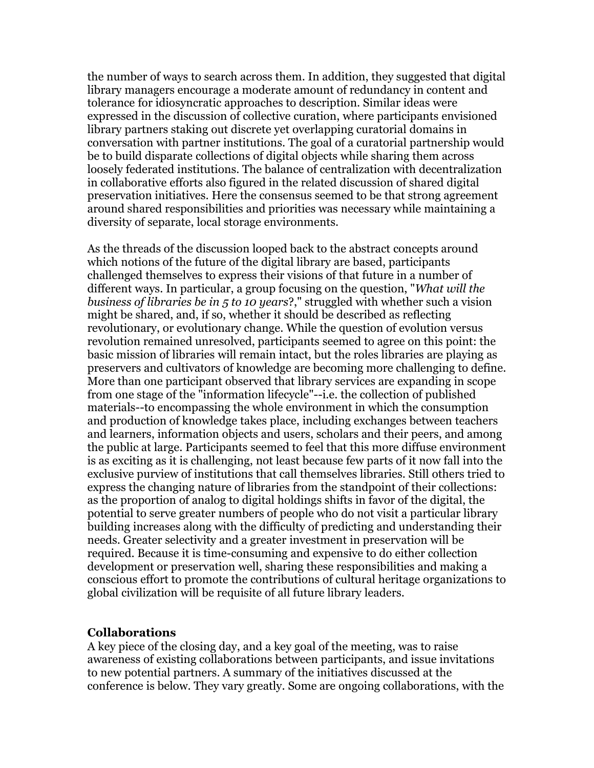the number of ways to search across them. In addition, they suggested that digital library managers encourage a moderate amount of redundancy in content and tolerance for idiosyncratic approaches to description. Similar ideas were expressed in the discussion of collective curation, where participants envisioned library partners staking out discrete yet overlapping curatorial domains in conversation with partner institutions. The goal of a curatorial partnership would be to build disparate collections of digital objects while sharing them across loosely federated institutions. The balance of centralization with decentralization in collaborative efforts also figured in the related discussion of shared digital preservation initiatives. Here the consensus seemed to be that strong agreement around shared responsibilities and priorities was necessary while maintaining a diversity of separate, local storage environments.

As the threads of the discussion looped back to the abstract concepts around which notions of the future of the digital library are based, participants challenged themselves to express their visions of that future in a number of different ways. In particular, a group focusing on the question, "*What will the business of libraries be in 5 to 10 years*?," struggled with whether such a vision might be shared, and, if so, whether it should be described as reflecting revolutionary, or evolutionary change. While the question of evolution versus revolution remained unresolved, participants seemed to agree on this point: the basic mission of libraries will remain intact, but the roles libraries are playing as preservers and cultivators of knowledge are becoming more challenging to define. More than one participant observed that library services are expanding in scope from one stage of the "information lifecycle"--i.e. the collection of published materials--to encompassing the whole environment in which the consumption and production of knowledge takes place, including exchanges between teachers and learners, information objects and users, scholars and their peers, and among the public at large. Participants seemed to feel that this more diffuse environment is as exciting as it is challenging, not least because few parts of it now fall into the exclusive purview of institutions that call themselves libraries. Still others tried to express the changing nature of libraries from the standpoint of their collections: as the proportion of analog to digital holdings shifts in favor of the digital, the potential to serve greater numbers of people who do not visit a particular library building increases along with the difficulty of predicting and understanding their needs. Greater selectivity and a greater investment in preservation will be required. Because it is time-consuming and expensive to do either collection development or preservation well, sharing these responsibilities and making a conscious effort to promote the contributions of cultural heritage organizations to global civilization will be requisite of all future library leaders.

#### **Collaborations**

A key piece of the closing day, and a key goal of the meeting, was to raise awareness of existing collaborations between participants, and issue invitations to new potential partners. A summary of the initiatives discussed at the conference is below. They vary greatly. Some are ongoing collaborations, with the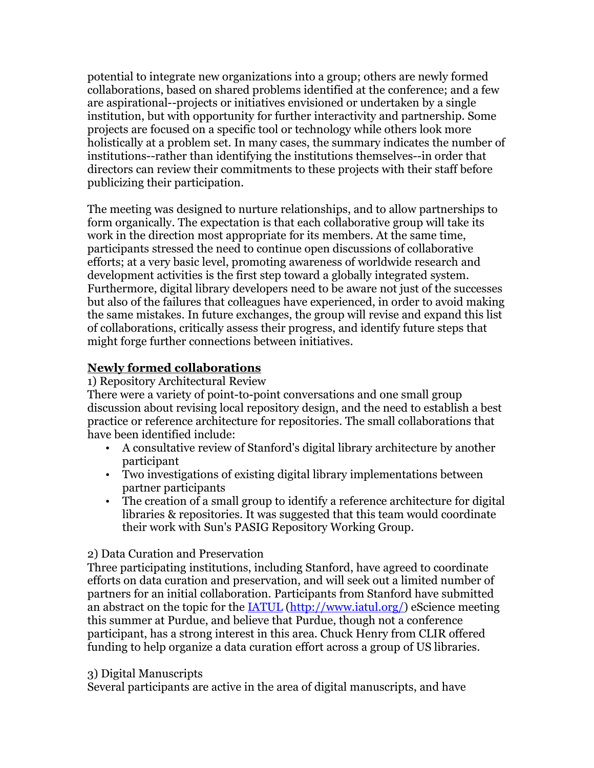potential to integrate new organizations into a group; others are newly formed collaborations, based on shared problems identified at the conference; and a few are aspirational--projects or initiatives envisioned or undertaken by a single institution, but with opportunity for further interactivity and partnership. Some projects are focused on a specific tool or technology while others look more holistically at a problem set. In many cases, the summary indicates the number of institutions--rather than identifying the institutions themselves--in order that directors can review their commitments to these projects with their staff before publicizing their participation.

The meeting was designed to nurture relationships, and to allow partnerships to form organically. The expectation is that each collaborative group will take its work in the direction most appropriate for its members. At the same time, participants stressed the need to continue open discussions of collaborative efforts; at a very basic level, promoting awareness of worldwide research and development activities is the first step toward a globally integrated system. Furthermore, digital library developers need to be aware not just of the successes but also of the failures that colleagues have experienced, in order to avoid making the same mistakes. In future exchanges, the group will revise and expand this list of collaborations, critically assess their progress, and identify future steps that might forge further connections between initiatives.

# **Newly formed collaborations**

1) Repository Architectural Review

There were a variety of point-to-point conversations and one small group discussion about revising local repository design, and the need to establish a best practice or reference architecture for repositories. The small collaborations that have been identified include:

- A consultative review of Stanford's digital library architecture by another participant
- Two investigations of existing digital library implementations between partner participants
- The creation of a small group to identify a reference architecture for digital libraries & repositories. It was suggested that this team would coordinate their work with Sun's PASIG Repository Working Group.

# 2) Data Curation and Preservation

Three participating institutions, including Stanford, have agreed to coordinate efforts on data curation and preservation, and will seek out a limited number of partners for an initial collaboration. Participants from Stanford have submitted an abstract on the topic for the [IATUL \(http://www.iatul.org/\)](http://www.iatul.org/) eScience meeting this summer at Purdue, and believe that Purdue, though not a conference participant, has a strong interest in this area. Chuck Henry from CLIR offered funding to help organize a data curation effort across a group of US libraries.

### 3) Digital Manuscripts

Several participants are active in the area of digital manuscripts, and have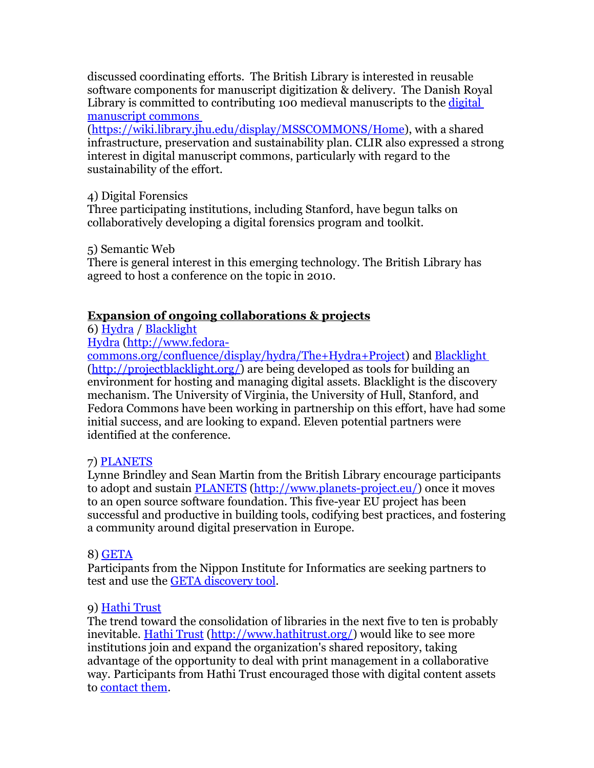discussed coordinating efforts. The British Library is interested in reusable software components for manuscript digitization & delivery. The Danish Royal Library is committed to contributing 100 medieval manuscripts to the [digital](https://wiki.library.jhu.edu/display/MSSCOMMONS/Home) [manuscript commons](https://wiki.library.jhu.edu/display/MSSCOMMONS/Home)

[\(https://wiki.library.jhu.edu/display/MSSCOMMONS/Home\)](https://wiki.library.jhu.edu/display/MSSCOMMONS/Home), with a shared infrastructure, preservation and sustainability plan. CLIR also expressed a strong interest in digital manuscript commons, particularly with regard to the sustainability of the effort.

## 4) Digital Forensics

Three participating institutions, including Stanford, have begun talks on collaboratively developing a digital forensics program and toolkit.

## 5) Semantic Web

There is general interest in this emerging technology. The British Library has agreed to host a conference on the topic in 2010.

# **Expansion of ongoing collaborations & projects**

6) [Hydra](http://www.fedora-commons.org/confluence/display/hydra/The+Hydra+Project) / [Blacklight](http://projectblacklight.org/)

[Hydra \(http://www.fedora-](http://www.fedora-commons.org/confluence/display/hydra/The+Hydra+Project)

[commons.org/confluence/display/hydra/The+Hydra+Project\)](http://www.fedora-commons.org/confluence/display/hydra/The+Hydra+Project) and [Blacklight](http://projectblacklight.org/) [\(http://projectblacklight.org/\)](http://projectblacklight.org/) are being developed as tools for building an environment for hosting and managing digital assets. Blacklight is the discovery mechanism. The University of Virginia, the University of Hull, Stanford, and Fedora Commons have been working in partnership on this effort, have had some initial success, and are looking to expand. Eleven potential partners were identified at the conference.

# 7) [PLANETS](http://www.planets-project.eu/)

Lynne Brindley and Sean Martin from the British Library encourage participants to adopt and sustain [PLANETS \(http://www.planets-project.eu/\)](http://www.planets-project.eu/) once it moves to an open source software foundation. This five-year EU project has been successful and productive in building tools, codifying best practices, and fostering a community around digital preservation in Europe.

### 8) [GETA](http://geta.ex.nii.ac.jp/e/index.html)

Participants from the Nippon Institute for Informatics are seeking partners to test and use the **GETA** discovery tool.

# 9) [Hathi Trust](http://www.hathitrust.org/)

The trend toward the consolidation of libraries in the next five to ten is probably inevitable. [Hathi Trust \(http://www.hathitrust.org/\)](http://www.hathitrust.org/) would like to see more institutions join and expand the organization's shared repository, taking advantage of the opportunity to deal with print management in a collaborative way. Participants from Hathi Trust encouraged those with digital content assets to [contact them.](http://www.hathitrust.org/governance)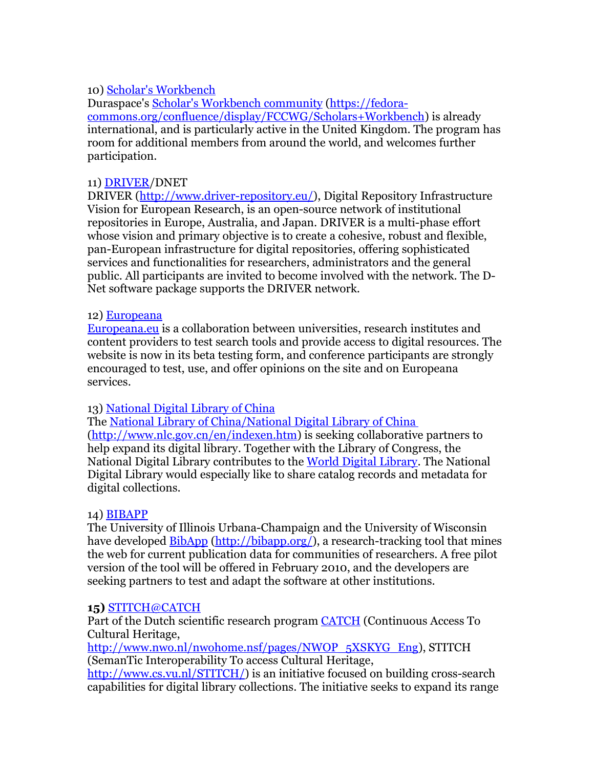# 10) [Scholar's Workbench](https://fedora-commons.org/confluence/display/FCCWG/Scholars+Workbench)

Duraspace's [Scholar's Workbench community \(https://fedora](https://fedora-commons.org/confluence/display/FCCWG/Scholars+Workbench)[commons.org/confluence/display/FCCWG/Scholars+Workbench\)](https://fedora-commons.org/confluence/display/FCCWG/Scholars+Workbench) is already international, and is particularly active in the United Kingdom. The program has room for additional members from around the world, and welcomes further participation.

### 11) [DRIVER/](http://www.driver-repository.eu/)DNET

DRIVER [\(http://www.driver-repository.eu/\)](http://www.driver-repository.eu/), Digital Repository Infrastructure Vision for European Research, is an open-source network of institutional repositories in Europe, Australia, and Japan. DRIVER is a multi-phase effort whose vision and primary objective is to create a cohesive, robust and flexible, pan-European infrastructure for digital repositories, offering sophisticated services and functionalities for researchers, administrators and the general public. All participants are invited to become involved with the network. The D-Net software package supports the DRIVER network.

#### 12) [Europeana](http://www.europeana.eu/)

[Europeana.eu](http://europeana.eu/) is a collaboration between universities, research institutes and content providers to test search tools and provide access to digital resources. The website is now in its beta testing form, and conference participants are strongly encouraged to test, use, and offer opinions on the site and on Europeana services.

### 13) [National Digital Library of China](http://www.nlc.gov.cn/en/indexen.htm)

The [National Library of China/National Digital Library of China](http://www.nlc.gov.cn/en/indexen.htm) [\(http://www.nlc.gov.cn/en/indexen.htm\)](http://www.nlc.gov.cn/en/indexen.htm) is seeking collaborative partners to help expand its digital library. Together with the Library of Congress, the National Digital Library contributes to the [World Digital Library.](http://www.wdl.org/en/) The National Digital Library would especially like to share catalog records and metadata for digital collections.

### 14) [BIBAPP](http://bibapp.org/)

The University of Illinois Urbana-Champaign and the University of Wisconsin have developed **BibApp (http://bibapp.org/)**, a research-tracking tool that mines the web for current publication data for communities of researchers. A free pilot version of the tool will be offered in February 2010, and the developers are seeking partners to test and adapt the software at other institutions.

#### **15)** [STITCH@CATCH](http://www.cs.vu.nl/STITCH/)

Part of the Dutch scientific research program [CATCH](http://www.nwo.nl/nwohome.nsf/pages/NWOP_5XSKYG_Eng) (Continuous Access To Cultural Heritage,

[http://www.nwo.nl/nwohome.nsf/pages/NWOP\\_5XSKYG\\_Eng\)](http://www.nwo.nl/nwohome.nsf/pages/NWOP_5XSKYG_Eng), STITCH (SemanTic Interoperability To access Cultural Heritage,

[http://www.cs.vu.nl/STITCH/\)](http://www.cs.vu.nl/STITCH/) is an initiative focused on building cross-search capabilities for digital library collections. The initiative seeks to expand its range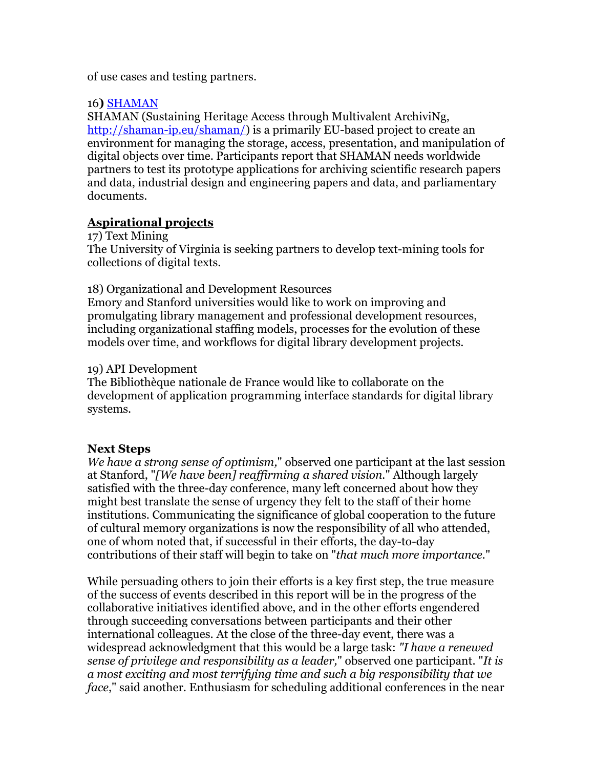of use cases and testing partners.

### 16**)** [SHAMAN](http://shaman-ip.eu/shaman/)

SHAMAN (Sustaining Heritage Access through Multivalent ArchiviNg, [http://shaman-ip.eu/shaman/\)](http://shaman-ip.eu/shaman/) is a primarily EU-based project to create an environment for managing the storage, access, presentation, and manipulation of digital objects over time. Participants report that SHAMAN needs worldwide partners to test its prototype applications for archiving scientific research papers and data, industrial design and engineering papers and data, and parliamentary documents.

# **Aspirational projects**

17) Text Mining

The University of Virginia is seeking partners to develop text-mining tools for collections of digital texts.

18) Organizational and Development Resources

Emory and Stanford universities would like to work on improving and promulgating library management and professional development resources, including organizational staffing models, processes for the evolution of these models over time, and workflows for digital library development projects.

## 19) API Development

The Bibliothèque nationale de France would like to collaborate on the development of application programming interface standards for digital library systems.

# **Next Steps**

*We have a strong sense of optimism,*" observed one participant at the last session at Stanford, "*[We have been] reaffirming a shared vision.*" Although largely satisfied with the three-day conference, many left concerned about how they might best translate the sense of urgency they felt to the staff of their home institutions. Communicating the significance of global cooperation to the future of cultural memory organizations is now the responsibility of all who attended, one of whom noted that, if successful in their efforts, the day-to-day contributions of their staff will begin to take on "*that much more importance.*"

While persuading others to join their efforts is a key first step, the true measure of the success of events described in this report will be in the progress of the collaborative initiatives identified above, and in the other efforts engendered through succeeding conversations between participants and their other international colleagues. At the close of the three-day event, there was a widespread acknowledgment that this would be a large task: *"I have a renewed sense of privilege and responsibility as a leader,*" observed one participant. "*It is a most exciting and most terrifying time and such a big responsibility that we face*," said another. Enthusiasm for scheduling additional conferences in the near